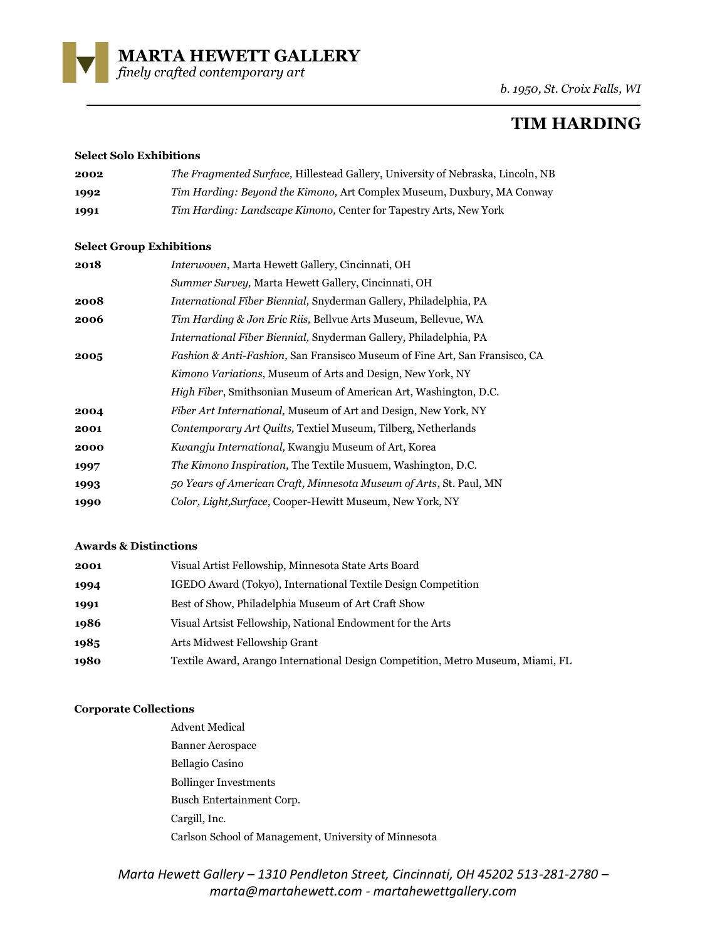

*b. 1950, St. Croix Falls, WI*

# **TIM HARDING**

### **Select Solo Exhibitions**

| 2002 | <i>The Fragmented Surface, Hillestead Gallery, University of Nebraska, Lincoln, NB</i> |
|------|----------------------------------------------------------------------------------------|
| 1992 | Tim Harding: Beyond the Kimono, Art Complex Museum, Duxbury, MA Conway                 |
| 1991 | <i>Tim Harding: Landscape Kimono, Center for Tapestry Arts, New York</i>               |

# **Select Group Exhibitions**

| 2018 | Interwoven, Marta Hewett Gallery, Cincinnati, OH                                       |
|------|----------------------------------------------------------------------------------------|
|      | Summer Survey, Marta Hewett Gallery, Cincinnati, OH                                    |
| 2008 | International Fiber Biennial, Snyderman Gallery, Philadelphia, PA                      |
| 2006 | Tim Harding & Jon Eric Riis, Bellvue Arts Museum, Bellevue, WA                         |
|      | International Fiber Biennial, Snyderman Gallery, Philadelphia, PA                      |
| 2005 | <i>Fashion &amp; Anti-Fashion, San Fransisco Museum of Fine Art, San Fransisco, CA</i> |
|      | Kimono Variations, Museum of Arts and Design, New York, NY                             |
|      | <i>High Fiber</i> , Smithsonian Museum of American Art, Washington, D.C.               |
| 2004 | <i>Fiber Art International, Museum of Art and Design, New York, NY</i>                 |
| 2001 | Contemporary Art Quilts, Textiel Museum, Tilberg, Netherlands                          |
| 2000 | Kwangju International, Kwangju Museum of Art, Korea                                    |
| 1997 | The Kimono Inspiration, The Textile Musuem, Washington, D.C.                           |
| 1993 | 50 Years of American Craft, Minnesota Museum of Arts, St. Paul, MN                     |
| 1990 | Color, Light, Surface, Cooper-Hewitt Museum, New York, NY                              |
|      |                                                                                        |

### **Awards & Distinctions**

| 2001 | Visual Artist Fellowship, Minnesota State Arts Board                            |
|------|---------------------------------------------------------------------------------|
| 1994 | IGEDO Award (Tokyo), International Textile Design Competition                   |
| 1991 | Best of Show, Philadelphia Museum of Art Craft Show                             |
| 1986 | Visual Artsist Fellowship, National Endowment for the Arts                      |
| 1985 | Arts Midwest Fellowship Grant                                                   |
| 1980 | Textile Award, Arango International Design Competition, Metro Museum, Miami, FL |

# **Corporate Collections**

Advent Medical Banner Aerospace Bellagio Casino Bollinger Investments Busch Entertainment Corp. Cargill, Inc. Carlson School of Management, University of Minnesota

*Marta Hewett Gallery – 1310 Pendleton Street, Cincinnati, OH 45202 513-281-2780 – marta@martahewett.com - martahewettgallery.com*